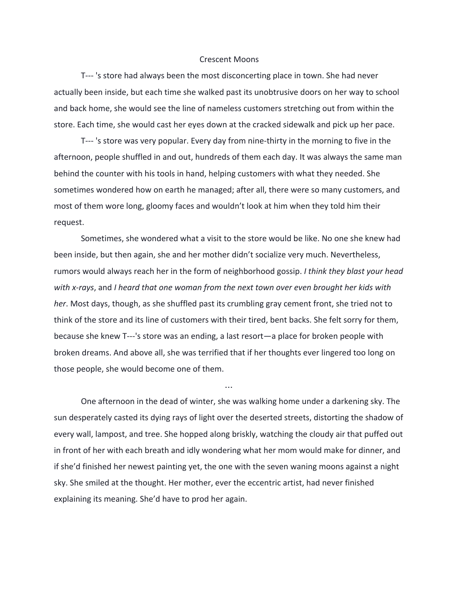## Crescent Moons

T--- 's store had always been the most disconcerting place in town. She had never actually been inside, but each time she walked past its unobtrusive doors on her way to school and back home, she would see the line of nameless customers stretching out from within the store. Each time, she would cast her eyes down at the cracked sidewalk and pick up her pace.

T--- 's store was very popular. Every day from nine-thirty in the morning to five in the afternoon, people shuffled in and out, hundreds of them each day. It was always the same man behind the counter with his tools in hand, helping customers with what they needed. She sometimes wondered how on earth he managed; after all, there were so many customers, and most of them wore long, gloomy faces and wouldn't look at him when they told him their request.

Sometimes, she wondered what a visit to the store would be like. No one she knew had been inside, but then again, she and her mother didn't socialize very much. Nevertheless, rumors would always reach her in the form of neighborhood gossip. *I think they blast your head with x-rays*, and *I heard that one woman from the next town over even brought her kids with her*. Most days, though, as she shuffled past its crumbling gray cement front, she tried not to think of the store and its line of customers with their tired, bent backs. She felt sorry for them, because she knew T---'s store was an ending, a last resort—a place for broken people with broken dreams. And above all, she was terrified that if her thoughts ever lingered too long on those people, she would become one of them.

One afternoon in the dead of winter, she was walking home under a darkening sky. The sun desperately casted its dying rays of light over the deserted streets, distorting the shadow of every wall, lampost, and tree. She hopped along briskly, watching the cloudy air that puffed out in front of her with each breath and idly wondering what her mom would make for dinner, and if she'd finished her newest painting yet, the one with the seven waning moons against a night sky. She smiled at the thought. Her mother, ever the eccentric artist, had never finished explaining its meaning. She'd have to prod her again.

…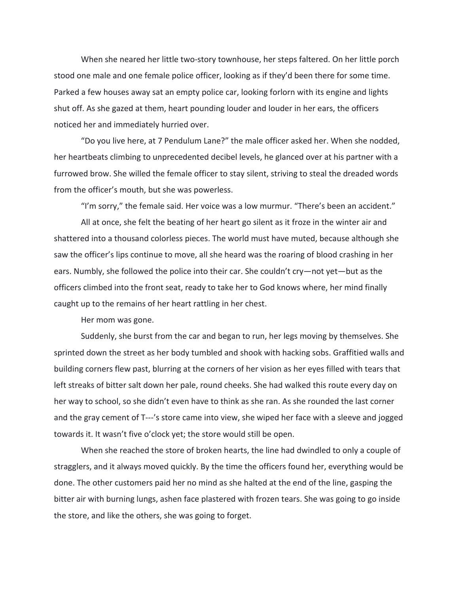When she neared her little two-story townhouse, her steps faltered. On her little porch stood one male and one female police officer, looking as if they'd been there for some time. Parked a few houses away sat an empty police car, looking forlorn with its engine and lights shut off. As she gazed at them, heart pounding louder and louder in her ears, the officers noticed her and immediately hurried over.

"Do you live here, at 7 Pendulum Lane?" the male officer asked her. When she nodded, her heartbeats climbing to unprecedented decibel levels, he glanced over at his partner with a furrowed brow. She willed the female officer to stay silent, striving to steal the dreaded words from the officer's mouth, but she was powerless.

"I'm sorry," the female said. Her voice was a low murmur. "There's been an accident."

All at once, she felt the beating of her heart go silent as it froze in the winter air and shattered into a thousand colorless pieces. The world must have muted, because although she saw the officer's lips continue to move, all she heard was the roaring of blood crashing in her ears. Numbly, she followed the police into their car. She couldn't cry—not yet—but as the officers climbed into the front seat, ready to take her to God knows where, her mind finally caught up to the remains of her heart rattling in her chest.

Her mom was gone.

Suddenly, she burst from the car and began to run, her legs moving by themselves. She sprinted down the street as her body tumbled and shook with hacking sobs. Graffitied walls and building corners flew past, blurring at the corners of her vision as her eyes filled with tears that left streaks of bitter salt down her pale, round cheeks. She had walked this route every day on her way to school, so she didn't even have to think as she ran. As she rounded the last corner and the gray cement of T---'s store came into view, she wiped her face with a sleeve and jogged towards it. It wasn't five o'clock yet; the store would still be open.

When she reached the store of broken hearts, the line had dwindled to only a couple of stragglers, and it always moved quickly. By the time the officers found her, everything would be done. The other customers paid her no mind as she halted at the end of the line, gasping the bitter air with burning lungs, ashen face plastered with frozen tears. She was going to go inside the store, and like the others, she was going to forget.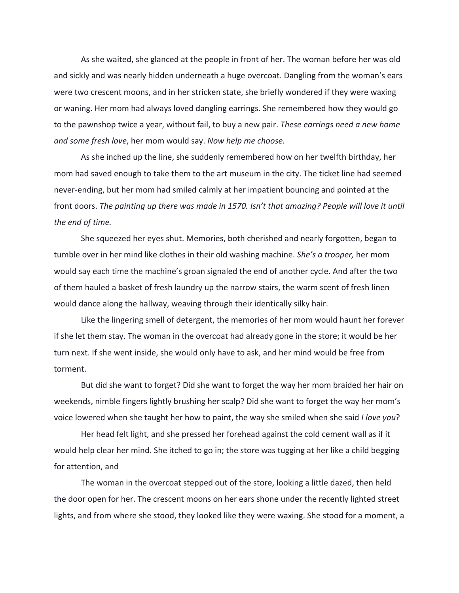As she waited, she glanced at the people in front of her. The woman before her was old and sickly and was nearly hidden underneath a huge overcoat. Dangling from the woman's ears were two crescent moons, and in her stricken state, she briefly wondered if they were waxing or waning. Her mom had always loved dangling earrings. She remembered how they would go to the pawnshop twice a year, without fail, to buy a new pair. *These earrings need a new home and some fresh love*, her mom would say. *Now help me choose.*

As she inched up the line, she suddenly remembered how on her twelfth birthday, her mom had saved enough to take them to the art museum in the city. The ticket line had seemed never-ending, but her mom had smiled calmly at her impatient bouncing and pointed at the front doors. *The painting up there was made in 1570. Isn't that amazing? People will love it until the end of time.*

She squeezed her eyes shut. Memories, both cherished and nearly forgotten, began to tumble over in her mind like clothes in their old washing machine. *She's a trooper,* her mom would say each time the machine's groan signaled the end of another cycle. And after the two of them hauled a basket of fresh laundry up the narrow stairs, the warm scent of fresh linen would dance along the hallway, weaving through their identically silky hair.

Like the lingering smell of detergent, the memories of her mom would haunt her forever if she let them stay. The woman in the overcoat had already gone in the store; it would be her turn next. If she went inside, she would only have to ask, and her mind would be free from torment.

But did she want to forget? Did she want to forget the way her mom braided her hair on weekends, nimble fingers lightly brushing her scalp? Did she want to forget the way her mom's voice lowered when she taught her how to paint, the way she smiled when she said *I love you*?

Her head felt light, and she pressed her forehead against the cold cement wall as if it would help clear her mind. She itched to go in; the store was tugging at her like a child begging for attention, and

The woman in the overcoat stepped out of the store, looking a little dazed, then held the door open for her. The crescent moons on her ears shone under the recently lighted street lights, and from where she stood, they looked like they were waxing. She stood for a moment, a